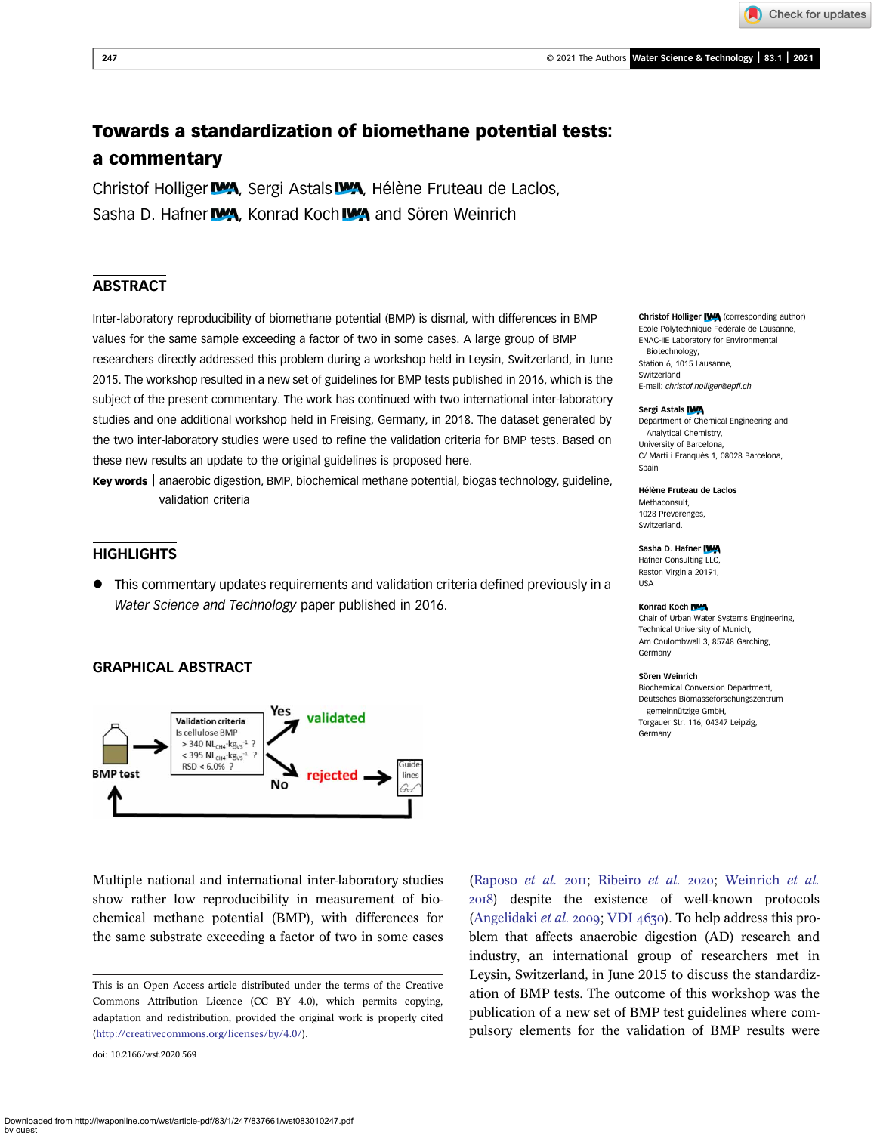Check for updates

# Towards a standardization of biomethane potential tests: a commentary

Christof Holliger **WA**, Sergi Astals WA, Hélène Fruteau de Laclos, Sasha D. Hafner **WA**, Konrad Koch WA and Sören Weinrich

## ABSTRACT

Inter-laboratory reproducibility of biomethane potential (BMP) is dismal, with differences in BMP values for the same sample exceeding a factor of two in some cases. A large group of BMP researchers directly addressed this problem during a workshop held in Leysin, Switzerland, in June 2015. The workshop resulted in a new set of guidelines for BMP tests published in 2016, which is the subject of the present commentary. The work has continued with two international inter-laboratory studies and one additional workshop held in Freising, Germany, in 2018. The dataset generated by the two inter-laboratory studies were used to refine the validation criteria for BMP tests. Based on these new results an update to the original guidelines is proposed here.

Key words | anaerobic digestion, BMP, biochemical methane potential, biogas technology, guideline, validation criteria

## **HIGHLIGHTS**

• This commentary updates requirements and validation criteria defined previously in a Water Science and Technology paper published in 2016.

## GRAPHICAL ABSTRACT



Multiple national and international inter-laboratory studies show rather low reproducibility in measurement of biochemical methane potential (BMP), with differences for the same substrate exceeding a factor of two in some cases

doi: 10.2166/wst.2020.569

[\(Raposo](#page-3-0) et al. 2011; [Ribeiro](#page-3-0) et al. 2020; [Weinrich](#page-3-0) et al. ) despite the existence of well-known protocols [\(Angelidaki](#page-2-0) *et al.* 2009; VDI  $4670$ ). To help address this problem that affects anaerobic digestion (AD) research and industry, an international group of researchers met in Leysin, Switzerland, in June 2015 to discuss the standardization of BMP tests. The outcome of this workshop was the publication of a new set of BMP test guidelines where compulsory elements for the validation of BMP results were

Christof Holliger IVA (corresponding author) Ecole Polytechnique Fédérale de Lausanne, ENAC-IIE Laboratory for Environmental Biotechnology, Station 6, 1015 Lausanne, Switzerland E-mail: [christof.holliger@ep](mailto:christof.holliger@epfl.ch)fl.ch

#### Sergi Astals IWA

Department of Chemical Engineering and Analytical Chemistry, University of Barcelona, C/ Martí i Franquès 1, 08028 Barcelona, Spain

#### Hélène Fruteau de Laclos

Methaconsult, 1028 Preverenges, Switzerland.

### Sasha D. Hafner IWA

Hafner Consulting LLC, Reston Virginia 20191, USA

#### Konrad Koch IWA

Chair of Urban Water Systems Engineering, Technical University of Munich, Am Coulombwall 3, 85748 Garching, Germany

#### Sören Weinrich

Biochemical Conversion Department, Deutsches Biomasseforschungszentrum gemeinnützige GmbH, Torgauer Str. 116, 04347 Leipzig, Germany

This is an Open Access article distributed under the terms of the Creative Commons Attribution Licence (CC BY 4.0), which permits copying, adaptation and redistribution, provided the original work is properly cited [\(http://creativecommons.org/licenses/by/4.0/](http://creativecommons.org/licenses/by/4.0/)).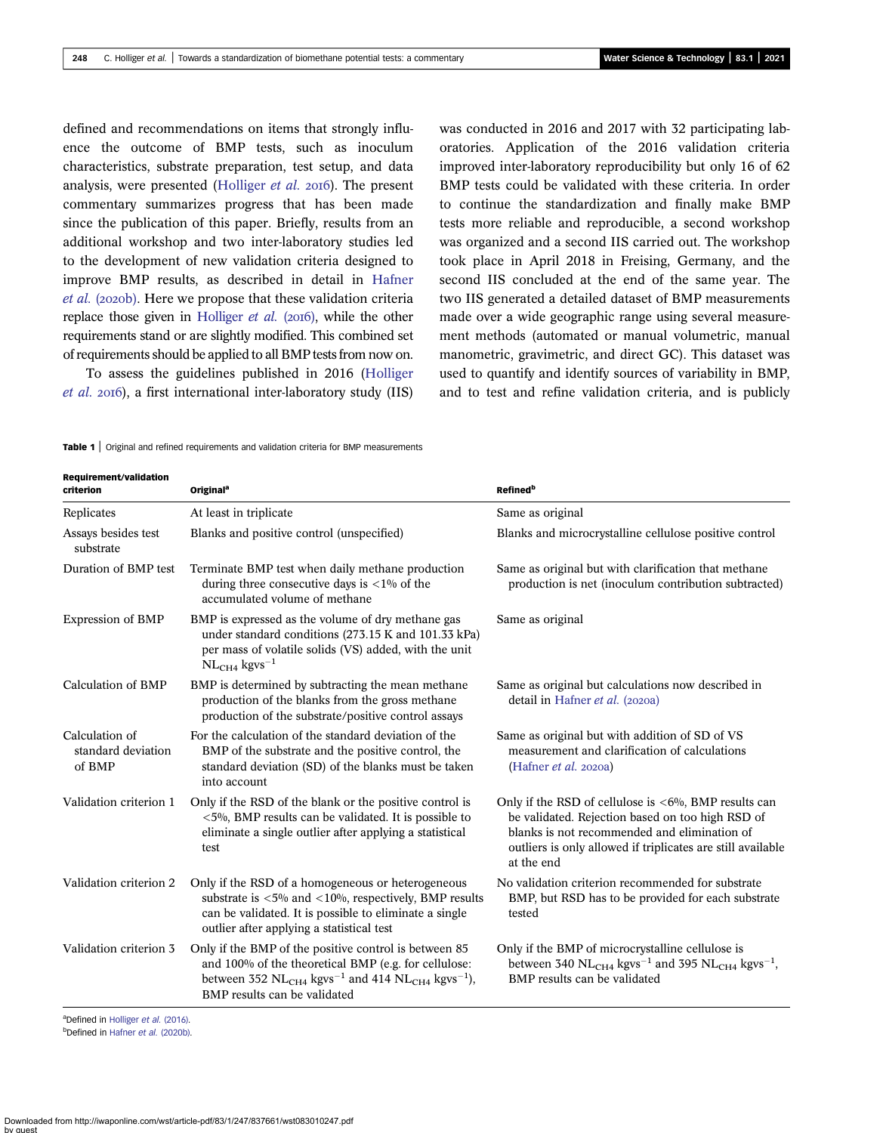<span id="page-1-0"></span>defined and recommendations on items that strongly influence the outcome of BMP tests, such as inoculum characteristics, substrate preparation, test setup, and data analysis, were presented ([Holliger](#page-2-0) et al. 2016). The present commentary summarizes progress that has been made since the publication of this paper. Briefly, results from an additional workshop and two inter-laboratory studies led to the development of new validation criteria designed to improve BMP results, as described in detail in [Hafner](#page-2-0) [et al.](#page-2-0) (2020b). Here we propose that these validation criteria replace those given in [Holliger](#page-2-0) *et al.* (2016), while the other requirements stand or are slightly modified. This combined set of requirements should be applied to all BMP tests from now on.

To assess the guidelines published in 2016 [\(Holliger](#page-2-0)  $et$  al. 2016), a first international inter-laboratory study (IIS) was conducted in 2016 and 2017 with 32 participating laboratories. Application of the 2016 validation criteria improved inter-laboratory reproducibility but only 16 of 62 BMP tests could be validated with these criteria. In order to continue the standardization and finally make BMP tests more reliable and reproducible, a second workshop was organized and a second IIS carried out. The workshop took place in April 2018 in Freising, Germany, and the second IIS concluded at the end of the same year. The two IIS generated a detailed dataset of BMP measurements made over a wide geographic range using several measurement methods (automated or manual volumetric, manual manometric, gravimetric, and direct GC). This dataset was used to quantify and identify sources of variability in BMP, and to test and refine validation criteria, and is publicly

**Table 1** Original and refined requirements and validation criteria for BMP measurements

Requirement/validation criterion Originala Refinedb Replicates At least in triplicate Same as original Replicate Same as original Assays besides test substrate Blanks and positive control (unspecified) Blanks and microcrystalline cellulose positive control Duration of BMP test Terminate BMP test when daily methane production during three consecutive days is  $\langle 1\%$  of the accumulated volume of methane Same as original but with clarification that methane production is net (inoculum contribution subtracted) Expression of BMP BMP is expressed as the volume of dry methane gas under standard conditions (273.15 K and 101.33 kPa) per mass of volatile solids (VS) added, with the unit  $NL<sub>CH4</sub>$  kgvs<sup>-1</sup> Same as original Calculation of BMP BMP is determined by subtracting the mean methane production of the blanks from the gross methane production of the substrate/positive control assays Same as original but calculations now described in detail in [Hafner](#page-2-0)  $et$  al. (2020a) Calculation of standard deviation of BMP For the calculation of the standard deviation of the BMP of the substrate and the positive control, the standard deviation (SD) of the blanks must be taken into account Same as original but with addition of SD of VS measurement and clarification of calculations ([Hafner](#page-2-0)  $et$  al. 2020a) Validation criterion 1 Only if the RSD of the blank or the positive control is <5%, BMP results can be validated. It is possible to eliminate a single outlier after applying a statistical test Only if the RSD of cellulose is  $<6\%$ , BMP results can be validated. Rejection based on too high RSD of blanks is not recommended and elimination of outliers is only allowed if triplicates are still available at the end Validation criterion 2 Only if the RSD of a homogeneous or heterogeneous substrate is  $<5\%$  and  $<10\%$ , respectively, BMP results can be validated. It is possible to eliminate a single outlier after applying a statistical test No validation criterion recommended for substrate BMP, but RSD has to be provided for each substrate tested Validation criterion 3 Only if the BMP of the positive control is between 85 and 100% of the theoretical BMP (e.g. for cellulose: between 352  $\rm NL_{CH4}$  kgvs $^{-1}$  and 414  $\rm NL_{CH4}$  kgvs $^{-1}$ ), BMP results can be validated Only if the BMP of microcrystalline cellulose is between 340  $\rm NL_{CH4}$  kgvs<sup>-1</sup> and 395  $\rm NL_{CH4}$  kgvs<sup>-1</sup>, BMP results can be validated

<sup>a</sup>Defined in [Holliger](#page-2-0) et al. (2016).

b<sub>Defined</sub> in Hafner et al. [\(2020b\)](#page-2-0).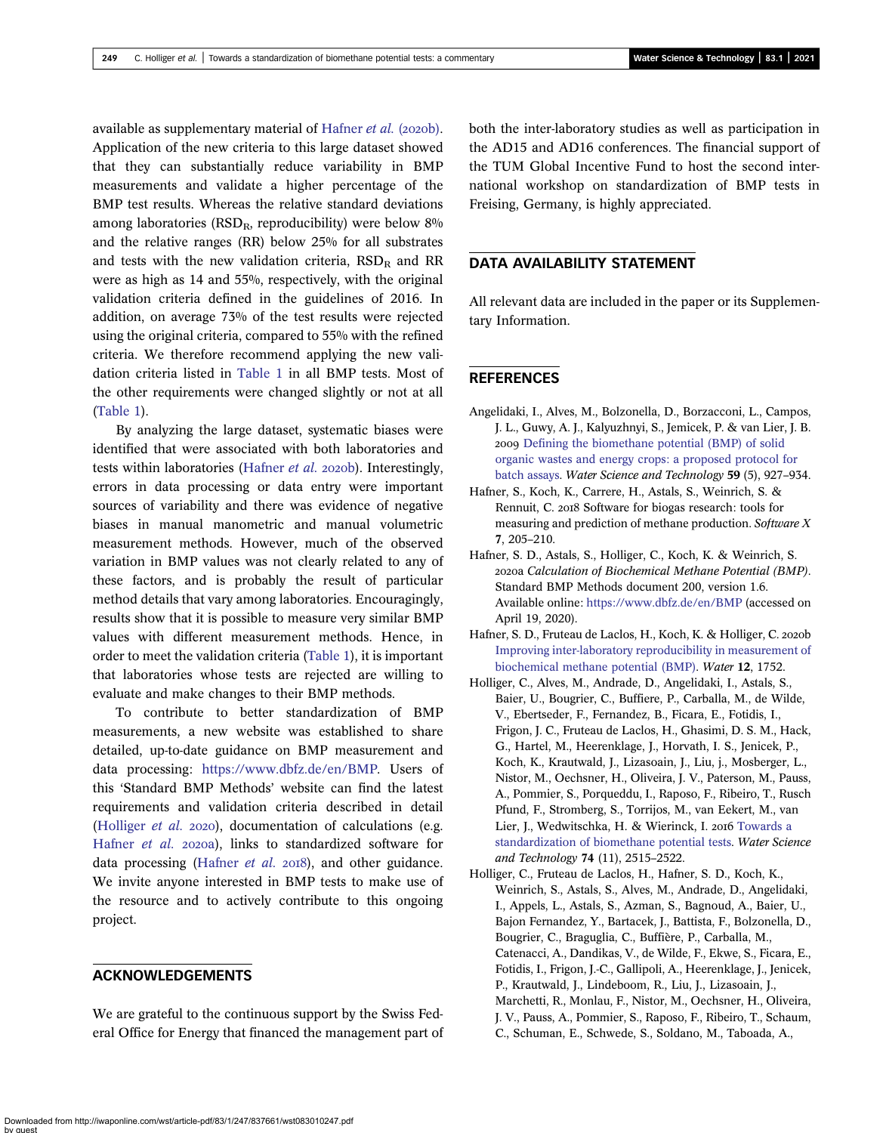<span id="page-2-0"></span>available as supplementary material of Hafner et al. (2020b). Application of the new criteria to this large dataset showed that they can substantially reduce variability in BMP measurements and validate a higher percentage of the BMP test results. Whereas the relative standard deviations among laboratories ( $RSD<sub>R</sub>$ , reproducibility) were below  $8\%$ and the relative ranges (RR) below 25% for all substrates and tests with the new validation criteria,  $RSD<sub>R</sub>$  and RR were as high as 14 and 55%, respectively, with the original validation criteria defined in the guidelines of 2016. In addition, on average 73% of the test results were rejected using the original criteria, compared to 55% with the refined criteria. We therefore recommend applying the new validation criteria listed in [Table 1](#page-1-0) in all BMP tests. Most of the other requirements were changed slightly or not at all [\(Table 1](#page-1-0)).

By analyzing the large dataset, systematic biases were identified that were associated with both laboratories and tests within laboratories (Hafner et al. 2020b). Interestingly, errors in data processing or data entry were important sources of variability and there was evidence of negative biases in manual manometric and manual volumetric measurement methods. However, much of the observed variation in BMP values was not clearly related to any of these factors, and is probably the result of particular method details that vary among laboratories. Encouragingly, results show that it is possible to measure very similar BMP values with different measurement methods. Hence, in order to meet the validation criteria [\(Table 1\)](#page-1-0), it is important that laboratories whose tests are rejected are willing to evaluate and make changes to their BMP methods.

To contribute to better standardization of BMP measurements, a new website was established to share detailed, up-to-date guidance on BMP measurement and data processing: [https://www.dbfz.de/en/BMP.](https://www.dbfz.de/en/BMP) Users of this 'Standard BMP Methods' website can find the latest requirements and validation criteria described in detail (Holliger  $et$  al. 2020), documentation of calculations (e.g. Hafner et al. 2020a), links to standardized software for data processing (Hafner  $et$   $al.$   $2018$ ), and other guidance. We invite anyone interested in BMP tests to make use of the resource and to actively contribute to this ongoing project.

### ACKNOWLEDGEMENTS

We are grateful to the continuous support by the Swiss Federal Office for Energy that financed the management part of both the inter-laboratory studies as well as participation in the AD15 and AD16 conferences. The financial support of the TUM Global Incentive Fund to host the second international workshop on standardization of BMP tests in Freising, Germany, is highly appreciated.

## DATA AVAILABILITY STATEMENT

All relevant data are included in the paper or its Supplementary Information.

## REFERENCES

- Angelidaki, I., Alves, M., Bolzonella, D., Borzacconi, L., Campos, J. L., Guwy, A. J., Kalyuzhnyi, S., Jemicek, P. & van Lier, J. B. 2009 [Defining the biomethane potential \(BMP\) of solid](http://dx.doi.org/10.2166/wst.2009.040) [organic wastes and energy crops: a proposed protocol for](http://dx.doi.org/10.2166/wst.2009.040) [batch assays](http://dx.doi.org/10.2166/wst.2009.040). Water Science and Technology 59 (5), 927–934.
- Hafner, S., Koch, K., Carrere, H., Astals, S., Weinrich, S. & Rennuit, C. 2018 Software for biogas research: tools for measuring and prediction of methane production. Software X 7, 205–210.
- Hafner, S. D., Astals, S., Holliger, C., Koch, K. & Weinrich, S. a Calculation of Biochemical Methane Potential (BMP). Standard BMP Methods document 200, version 1.6. Available online: <https://www.dbfz.de/en/BMP> (accessed on April 19, 2020).
- Hafner, S. D., Fruteau de Laclos, H., Koch, K. & Holliger, C. 2020b [Improving inter-laboratory reproducibility in measurement of](http://dx.doi.org/10.3390/w12061752) [biochemical methane potential \(BMP\).](http://dx.doi.org/10.3390/w12061752) Water 12, 1752.
- Holliger, C., Alves, M., Andrade, D., Angelidaki, I., Astals, S., Baier, U., Bougrier, C., Buffiere, P., Carballa, M., de Wilde, V., Ebertseder, F., Fernandez, B., Ficara, E., Fotidis, I., Frigon, J. C., Fruteau de Laclos, H., Ghasimi, D. S. M., Hack, G., Hartel, M., Heerenklage, J., Horvath, I. S., Jenicek, P., Koch, K., Krautwald, J., Lizasoain, J., Liu, j., Mosberger, L., Nistor, M., Oechsner, H., Oliveira, J. V., Paterson, M., Pauss, A., Pommier, S., Porqueddu, I., Raposo, F., Ribeiro, T., Rusch Pfund, F., Stromberg, S., Torrijos, M., van Eekert, M., van Lier, J., Wedwitschka, H. & Wierinck, I. 2016 [Towards a](http://dx.doi.org/10.2166/wst.2016.336) [standardization of biomethane potential tests.](http://dx.doi.org/10.2166/wst.2016.336) Water Science and Technology 74 (11), 2515–2522.
- Holliger, C., Fruteau de Laclos, H., Hafner, S. D., Koch, K., Weinrich, S., Astals, S., Alves, M., Andrade, D., Angelidaki, I., Appels, L., Astals, S., Azman, S., Bagnoud, A., Baier, U., Bajon Fernandez, Y., Bartacek, J., Battista, F., Bolzonella, D., Bougrier, C., Braguglia, C., Buffière, P., Carballa, M., Catenacci, A., Dandikas, V., de Wilde, F., Ekwe, S., Ficara, E., Fotidis, I., Frigon, J.-C., Gallipoli, A., Heerenklage, J., Jenicek, P., Krautwald, J., Lindeboom, R., Liu, J., Lizasoain, J., Marchetti, R., Monlau, F., Nistor, M., Oechsner, H., Oliveira, J. V., Pauss, A., Pommier, S., Raposo, F., Ribeiro, T., Schaum, C., Schuman, E., Schwede, S., Soldano, M., Taboada, A.,